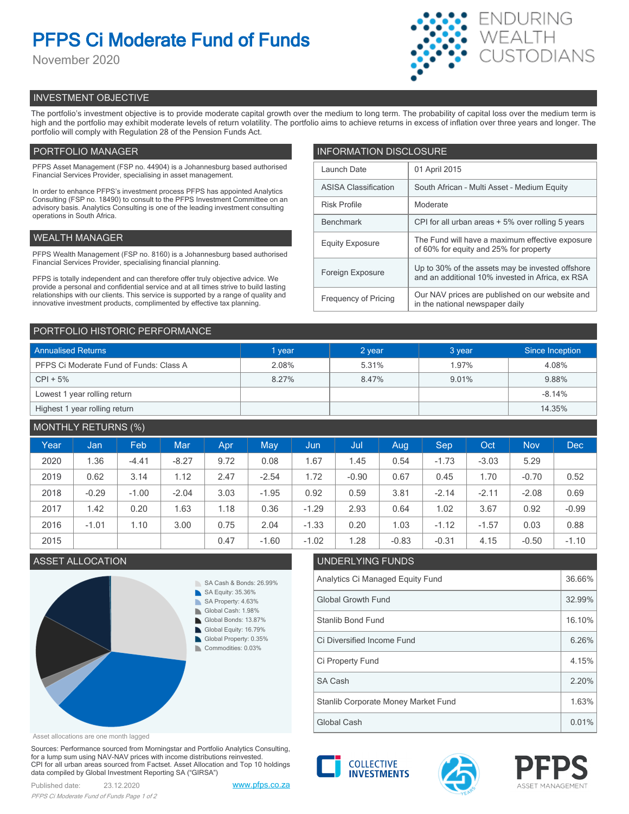# **PFPS Ci Moderate Fund of Funds**

November 2020



# INVESTMENT OBJECTIVE

The portfolio's investment objective is to provide moderate capital growth over the medium to long term. The probability of capital loss over the medium term is high and the portfolio may exhibit moderate levels of return volatility. The portfolio aims to achieve returns in excess of inflation over three years and longer. The portfolio will comply with Regulation 28 of the Pension Funds Act.

# PORTFOLIO MANAGER

PFPS Asset Management (FSP no. 44904) is a Johannesburg based authorised Financial Services Provider, specialising in asset management.

In order to enhance PFPS's investment process PFPS has appointed Analytics Consulting (FSP no. 18490) to consult to the PFPS Investment Committee on an advisory basis. Analytics Consulting is one of the leading investment consulting operations in South Africa.

## WEALTH MANAGER

PFPS Wealth Management (FSP no. 8160) is a Johannesburg based authorised Financial Services Provider, specialising financial planning.

PFPS is totally independent and can therefore offer truly objective advice. We provide a personal and confidential service and at all times strive to build lasting relationships with our clients. This service is supported by a range of quality and innovative investment products, complimented by effective tax planning.

| <b>INFORMATION DISCLOSURE</b> |                                                                                                      |  |  |  |  |
|-------------------------------|------------------------------------------------------------------------------------------------------|--|--|--|--|
| Launch Date                   | 01 April 2015                                                                                        |  |  |  |  |
| <b>ASISA Classification</b>   | South African - Multi Asset - Medium Equity                                                          |  |  |  |  |
| <b>Risk Profile</b>           | Moderate                                                                                             |  |  |  |  |
| <b>Benchmark</b>              | CPI for all urban areas + 5% over rolling 5 years                                                    |  |  |  |  |
| <b>Equity Exposure</b>        | The Fund will have a maximum effective exposure<br>of 60% for equity and 25% for property            |  |  |  |  |
| Foreign Exposure              | Up to 30% of the assets may be invested offshore<br>and an additional 10% invested in Africa, ex RSA |  |  |  |  |
| <b>Frequency of Pricing</b>   | Our NAV prices are published on our website and<br>in the national newspaper daily                   |  |  |  |  |

## PORTFOLIO HISTORIC PERFORMANCE

| <b>Annualised Returns</b>               | 1 year | 2 year | 3 year | Since Inception |
|-----------------------------------------|--------|--------|--------|-----------------|
| PFPS Ci Moderate Fund of Funds: Class A | 2.08%  | 5.31%  | 1.97%  | 4.08%           |
| $CPI + 5%$                              | 8.27%  | 8.47%  | 9.01%  | 9.88%           |
| Lowest 1 year rolling return            |        |        |        | $-8.14%$        |
| Highest 1 year rolling return           |        |        |        | 14.35%          |

## MONTHLY RETURNS (%)

| Year | Jan     | Feb     | <b>Mar</b> | Apr. | May     | Uun,    | Jul     | Aug     | <b>Sep</b> | Oct     | <b>Nov</b> | <b>Dec</b> |
|------|---------|---------|------------|------|---------|---------|---------|---------|------------|---------|------------|------------|
| 2020 | 1.36    | $-4.41$ | $-8.27$    | 9.72 | 0.08    | 1.67    | 1.45    | 0.54    | $-1.73$    | $-3.03$ | 5.29       |            |
| 2019 | 0.62    | 3.14    | 1.12       | 2.47 | $-2.54$ | 1.72    | $-0.90$ | 0.67    | 0.45       | 1.70    | $-0.70$    | 0.52       |
| 2018 | $-0.29$ | $-1.00$ | $-2.04$    | 3.03 | $-1.95$ | 0.92    | 0.59    | 3.81    | $-2.14$    | $-2.11$ | $-2.08$    | 0.69       |
| 2017 | 1.42    | 0.20    | 1.63       | 1.18 | 0.36    | $-1.29$ | 2.93    | 0.64    | 1.02       | 3.67    | 0.92       | $-0.99$    |
| 2016 | $-1.01$ | 1.10    | 3.00       | 0.75 | 2.04    | $-1.33$ | 0.20    | 1.03    | $-1.12$    | $-1.57$ | 0.03       | 0.88       |
| 2015 |         |         |            | 0.47 | $-1.60$ | $-1.02$ | 1.28    | $-0.83$ | $-0.31$    | 4.15    | $-0.50$    | $-1.10$    |

# **ASSET ALLOCATION**



| LUZ.        | 1.Z8                                | -0.83 | -0.3 L | 4. IS | -0.50 | -1.10 |  |  |  |
|-------------|-------------------------------------|-------|--------|-------|-------|-------|--|--|--|
|             | UNDERLYING FUNDS                    |       |        |       |       |       |  |  |  |
|             | Analytics Ci Managed Equity Fund    |       |        |       |       |       |  |  |  |
|             | <b>Global Growth Fund</b>           |       |        |       |       |       |  |  |  |
|             | Stanlib Bond Fund                   |       |        |       |       |       |  |  |  |
|             | Ci Diversified Income Fund          |       |        |       |       |       |  |  |  |
|             | Ci Property Fund                    |       |        |       |       |       |  |  |  |
|             | SA Cash                             |       |        |       |       | 2.20% |  |  |  |
|             | Stanlib Corporate Money Market Fund |       |        |       |       |       |  |  |  |
| Global Cash |                                     |       |        |       |       | 0.01% |  |  |  |

Asset allocations are one month lagged

Sources: Performance sourced from Morningstar and Portfolio Analytics Consulting, for a lump sum using NAV-NAV prices with income distributions reinvested. CPI for all urban areas sourced from Factset. Asset Allocation and Top 10 holdings data compiled by Global Investment Reporting SA ("GIRSA")

Published date: 23.12.2020 [www.pfps.co.za](https://www.pfps.co.za/) *PFPS Ci Moderate Fund of Funds Page 1 of 2*